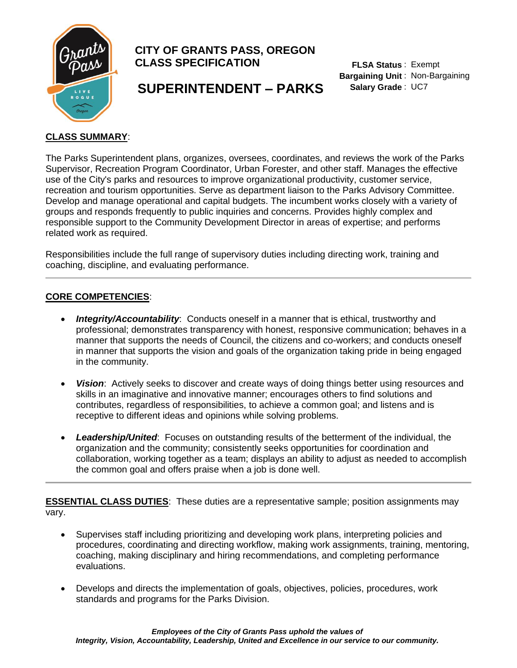

# **CITY OF GRANTS PASS, OREGON CLASS SPECIFICATION**

**FLSA Status**  : Exempt **Bargaining Unit** : Non-Bargaining **Salary Grade** : UC7

# **SUPERINTENDENT – PARKS**

# **CLASS SUMMARY**:

The Parks Superintendent plans, organizes, oversees, coordinates, and reviews the work of the Parks Supervisor, Recreation Program Coordinator, Urban Forester, and other staff. Manages the effective use of the City's parks and resources to improve organizational productivity, customer service, recreation and tourism opportunities. Serve as department liaison to the Parks Advisory Committee. Develop and manage operational and capital budgets. The incumbent works closely with a variety of groups and responds frequently to public inquiries and concerns. Provides highly complex and responsible support to the Community Development Director in areas of expertise; and performs related work as required.

Responsibilities include the full range of supervisory duties including directing work, training and coaching, discipline, and evaluating performance.

# **CORE COMPETENCIES**:

- *Integrity/Accountability*: Conducts oneself in a manner that is ethical, trustworthy and professional; demonstrates transparency with honest, responsive communication; behaves in a manner that supports the needs of Council, the citizens and co-workers; and conducts oneself in manner that supports the vision and goals of the organization taking pride in being engaged in the community.
- *Vision*: Actively seeks to discover and create ways of doing things better using resources and skills in an imaginative and innovative manner; encourages others to find solutions and contributes, regardless of responsibilities, to achieve a common goal; and listens and is receptive to different ideas and opinions while solving problems.
- *Leadership/United*: Focuses on outstanding results of the betterment of the individual, the organization and the community; consistently seeks opportunities for coordination and collaboration, working together as a team; displays an ability to adjust as needed to accomplish the common goal and offers praise when a job is done well.

**ESSENTIAL CLASS DUTIES**: These duties are a representative sample; position assignments may vary.

- Supervises staff including prioritizing and developing work plans, interpreting policies and procedures, coordinating and directing workflow, making work assignments, training, mentoring, coaching, making disciplinary and hiring recommendations, and completing performance evaluations.
- Develops and directs the implementation of goals, objectives, policies, procedures, work standards and programs for the Parks Division.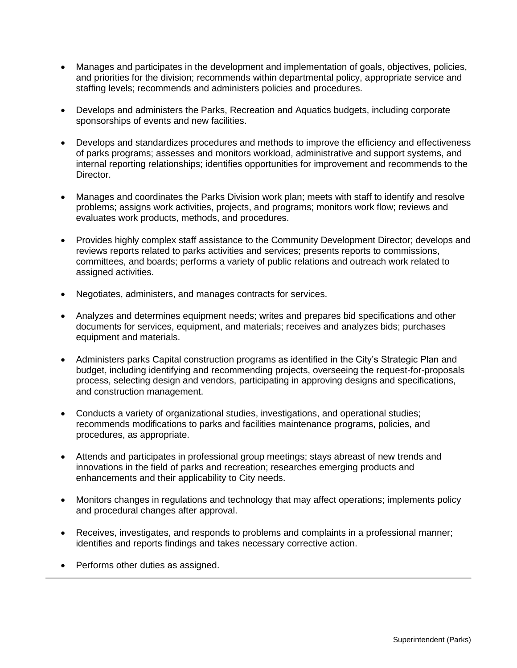- Manages and participates in the development and implementation of goals, objectives, policies, and priorities for the division; recommends within departmental policy, appropriate service and staffing levels; recommends and administers policies and procedures.
- Develops and administers the Parks, Recreation and Aquatics budgets, including corporate sponsorships of events and new facilities.
- Develops and standardizes procedures and methods to improve the efficiency and effectiveness of parks programs; assesses and monitors workload, administrative and support systems, and internal reporting relationships; identifies opportunities for improvement and recommends to the Director.
- Manages and coordinates the Parks Division work plan; meets with staff to identify and resolve problems; assigns work activities, projects, and programs; monitors work flow; reviews and evaluates work products, methods, and procedures.
- Provides highly complex staff assistance to the Community Development Director; develops and reviews reports related to parks activities and services; presents reports to commissions, committees, and boards; performs a variety of public relations and outreach work related to assigned activities.
- Negotiates, administers, and manages contracts for services.
- Analyzes and determines equipment needs; writes and prepares bid specifications and other documents for services, equipment, and materials; receives and analyzes bids; purchases equipment and materials.
- Administers parks Capital construction programs as identified in the City's Strategic Plan and budget, including identifying and recommending projects, overseeing the request-for-proposals process, selecting design and vendors, participating in approving designs and specifications, and construction management.
- Conducts a variety of organizational studies, investigations, and operational studies; recommends modifications to parks and facilities maintenance programs, policies, and procedures, as appropriate.
- Attends and participates in professional group meetings; stays abreast of new trends and innovations in the field of parks and recreation; researches emerging products and enhancements and their applicability to City needs.
- Monitors changes in regulations and technology that may affect operations; implements policy and procedural changes after approval.
- Receives, investigates, and responds to problems and complaints in a professional manner; identifies and reports findings and takes necessary corrective action.
- Performs other duties as assigned.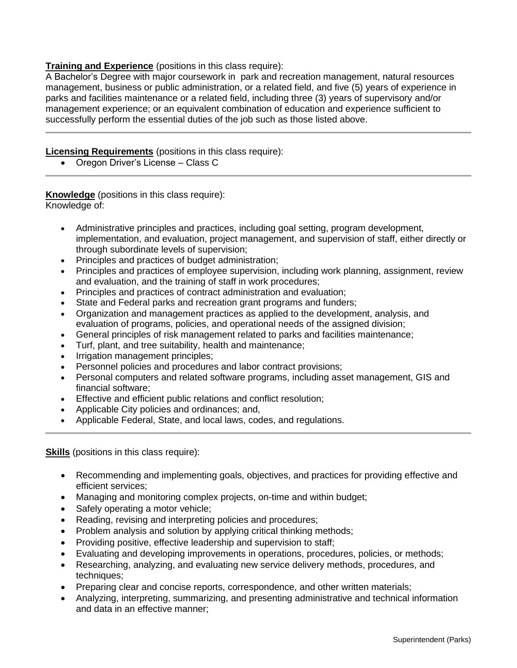## **Training and Experience** (positions in this class require):

A Bachelor's Degree with major coursework in park and recreation management, natural resources management, business or public administration, or a related field, and five (5) years of experience in parks and facilities maintenance or a related field, including three (3) years of supervisory and/or management experience; or an equivalent combination of education and experience sufficient to successfully perform the essential duties of the job such as those listed above.

### **Licensing Requirements** (positions in this class require):

• Oregon Driver's License – Class C

**Knowledge** (positions in this class require): Knowledge of:

- Administrative principles and practices, including goal setting, program development, implementation, and evaluation, project management, and supervision of staff, either directly or through subordinate levels of supervision;
- Principles and practices of budget administration;
- Principles and practices of employee supervision, including work planning, assignment, review and evaluation, and the training of staff in work procedures;
- Principles and practices of contract administration and evaluation;
- State and Federal parks and recreation grant programs and funders;
- Organization and management practices as applied to the development, analysis, and evaluation of programs, policies, and operational needs of the assigned division;
- General principles of risk management related to parks and facilities maintenance;
- Turf, plant, and tree suitability, health and maintenance;
- Irrigation management principles;
- Personnel policies and procedures and labor contract provisions;
- Personal computers and related software programs, including asset management, GIS and financial software;
- Effective and efficient public relations and conflict resolution;
- Applicable City policies and ordinances; and,
- Applicable Federal, State, and local laws, codes, and regulations.

**Skills** (positions in this class require):

- Recommending and implementing goals, objectives, and practices for providing effective and efficient services;
- Managing and monitoring complex projects, on-time and within budget;
- Safely operating a motor vehicle;
- Reading, revising and interpreting policies and procedures;
- Problem analysis and solution by applying critical thinking methods;
- Providing positive, effective leadership and supervision to staff;
- Evaluating and developing improvements in operations, procedures, policies, or methods;
- Researching, analyzing, and evaluating new service delivery methods, procedures, and techniques;
- Preparing clear and concise reports, correspondence, and other written materials;
- Analyzing, interpreting, summarizing, and presenting administrative and technical information and data in an effective manner;